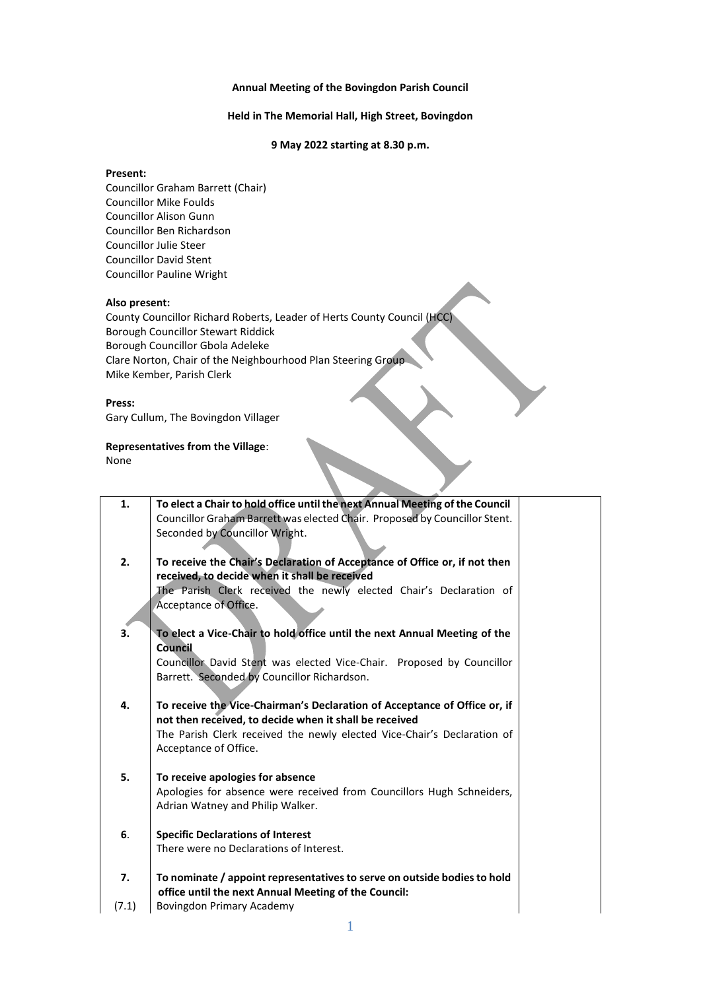#### **Annual Meeting of the Bovingdon Parish Council**

### **Held in The Memorial Hall, High Street, Bovingdon**

### **9 May 2022 starting at 8.30 p.m.**

## **Present:**

Councillor Graham Barrett (Chair) Councillor Mike Foulds Councillor Alison Gunn Councillor Ben Richardson Councillor Julie Steer Councillor David Stent Councillor Pauline Wright

## **Also present:**

County Councillor Richard Roberts, Leader of Herts County Council (HCC) Borough Councillor Stewart Riddick Borough Councillor Gbola Adeleke Clare Norton, Chair of the Neighbourhood Plan Steering Group Mike Kember, Parish Clerk

#### **Press:**

Gary Cullum, The Bovingdon Villager

# **Representatives from the Village**:

None

| 1.    | To elect a Chair to hold office until the next Annual Meeting of the Council      |
|-------|-----------------------------------------------------------------------------------|
|       | Councillor Graham Barrett was elected Chair. Proposed by Councillor Stent.        |
|       | Seconded by Councillor Wright.                                                    |
|       |                                                                                   |
| 2.    | To receive the Chair's Declaration of Acceptance of Office or, if not then        |
|       | received, to decide when it shall be received                                     |
|       | The Parish Clerk received the newly elected Chair's Declaration of                |
|       | Acceptance of Office.                                                             |
|       |                                                                                   |
| 3.    | To elect a Vice-Chair to hold office until the next Annual Meeting of the         |
|       | <b>Council</b>                                                                    |
|       | Councillor David Stent was elected Vice-Chair. Proposed by Councillor             |
|       | Barrett. Seconded by Councillor Richardson.                                       |
| 4.    | To receive the Vice-Chairman's Declaration of Acceptance of Office or, if         |
|       | not then received, to decide when it shall be received                            |
|       | The Parish Clerk received the newly elected Vice-Chair's Declaration of           |
|       | Acceptance of Office.                                                             |
|       |                                                                                   |
| 5.    | To receive apologies for absence                                                  |
|       | Apologies for absence were received from Councillors Hugh Schneiders,             |
|       | Adrian Watney and Philip Walker.                                                  |
|       |                                                                                   |
| 6.    | <b>Specific Declarations of Interest</b>                                          |
|       | There were no Declarations of Interest.                                           |
|       |                                                                                   |
| 7.    | To nominate / appoint representatives to serve on outside bodies to hold          |
|       | office until the next Annual Meeting of the Council:<br>Bovingdon Primary Academy |
| (7.1) |                                                                                   |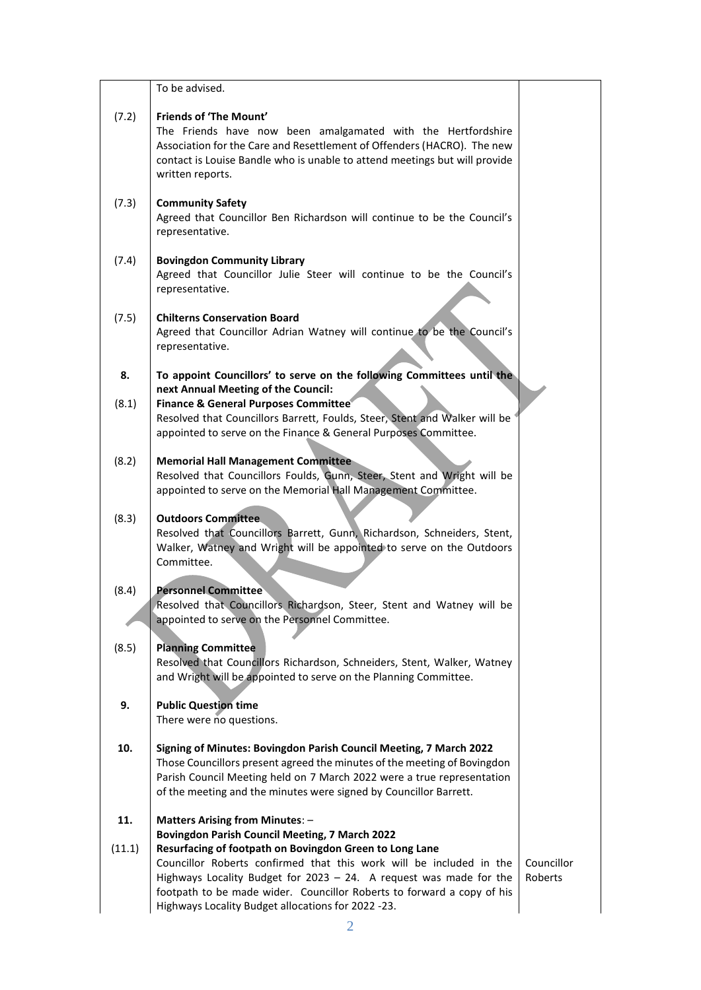|        | To be advised.                                                                                                                                                                                                                                                                                                                                                                                   |                       |
|--------|--------------------------------------------------------------------------------------------------------------------------------------------------------------------------------------------------------------------------------------------------------------------------------------------------------------------------------------------------------------------------------------------------|-----------------------|
| (7.2)  | Friends of 'The Mount'<br>The Friends have now been amalgamated with the Hertfordshire<br>Association for the Care and Resettlement of Offenders (HACRO). The new<br>contact is Louise Bandle who is unable to attend meetings but will provide<br>written reports.                                                                                                                              |                       |
| (7.3)  | <b>Community Safety</b><br>Agreed that Councillor Ben Richardson will continue to be the Council's<br>representative.                                                                                                                                                                                                                                                                            |                       |
| (7.4)  | <b>Bovingdon Community Library</b><br>Agreed that Councillor Julie Steer will continue to be the Council's<br>representative.                                                                                                                                                                                                                                                                    |                       |
| (7.5)  | <b>Chilterns Conservation Board</b><br>Agreed that Councillor Adrian Watney will continue to be the Council's<br>representative.                                                                                                                                                                                                                                                                 |                       |
| 8.     | To appoint Councillors' to serve on the following Committees until the                                                                                                                                                                                                                                                                                                                           |                       |
| (8.1)  | next Annual Meeting of the Council:<br><b>Finance &amp; General Purposes Committee</b><br>Resolved that Councillors Barrett, Foulds, Steer, Stent and Walker will be<br>appointed to serve on the Finance & General Purposes Committee.                                                                                                                                                          |                       |
| (8.2)  | <b>Memorial Hall Management Committee</b><br>Resolved that Councillors Foulds, Gunn, Steer, Stent and Wright will be<br>appointed to serve on the Memorial Hall Management Committee.                                                                                                                                                                                                            |                       |
| (8.3)  | <b>Outdoors Committee</b><br>Resolved that Councillors Barrett, Gunn, Richardson, Schneiders, Stent,<br>Walker, Watney and Wright will be appointed to serve on the Outdoors<br>Committee.                                                                                                                                                                                                       |                       |
| (8.4)  | <b>Personnel Committee</b><br>Resolved that Councillors Richardson, Steer, Stent and Watney will be<br>appointed to serve on the Personnel Committee.                                                                                                                                                                                                                                            |                       |
| (8.5)  | <b>Planning Committee</b><br>Resolved that Councillors Richardson, Schneiders, Stent, Walker, Watney<br>and Wright will be appointed to serve on the Planning Committee.                                                                                                                                                                                                                         |                       |
| 9.     | <b>Public Question time</b><br>There were no questions.                                                                                                                                                                                                                                                                                                                                          |                       |
| 10.    | Signing of Minutes: Bovingdon Parish Council Meeting, 7 March 2022<br>Those Councillors present agreed the minutes of the meeting of Bovingdon<br>Parish Council Meeting held on 7 March 2022 were a true representation<br>of the meeting and the minutes were signed by Councillor Barrett.                                                                                                    |                       |
| 11.    | <b>Matters Arising from Minutes: -</b>                                                                                                                                                                                                                                                                                                                                                           |                       |
| (11.1) | <b>Bovingdon Parish Council Meeting, 7 March 2022</b><br>Resurfacing of footpath on Bovingdon Green to Long Lane<br>Councillor Roberts confirmed that this work will be included in the<br>Highways Locality Budget for $2023 - 24$ . A request was made for the<br>footpath to be made wider. Councillor Roberts to forward a copy of his<br>Highways Locality Budget allocations for 2022 -23. | Councillor<br>Roberts |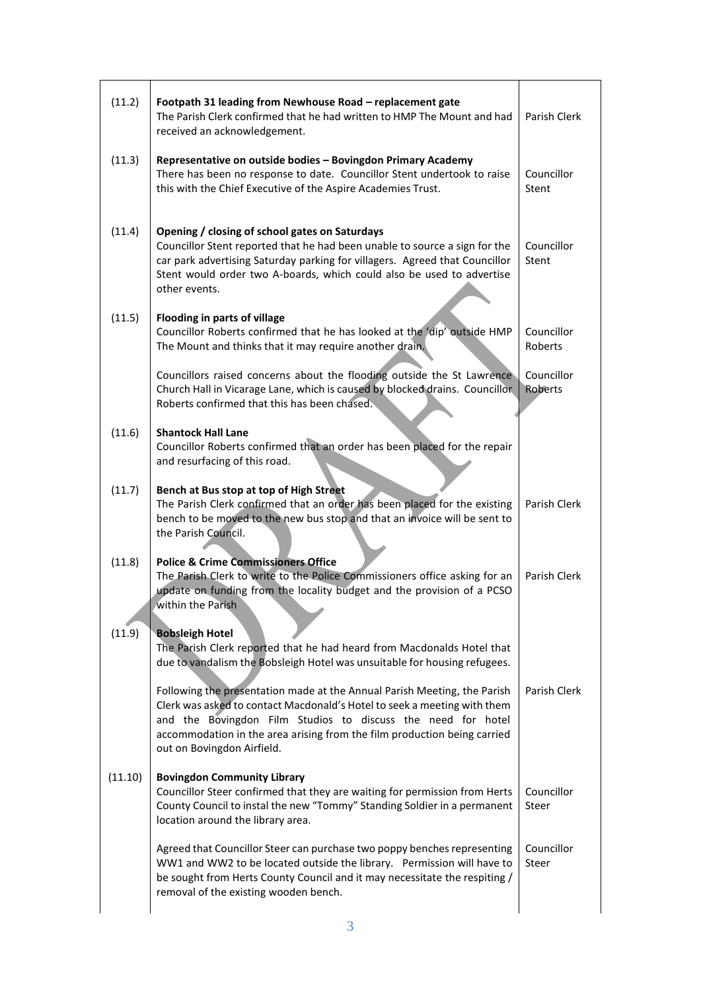| (11.2)  | Footpath 31 leading from Newhouse Road - replacement gate<br>The Parish Clerk confirmed that he had written to HMP The Mount and had<br>received an acknowledgement.                                                                                                                                                           | Parish Clerk          |
|---------|--------------------------------------------------------------------------------------------------------------------------------------------------------------------------------------------------------------------------------------------------------------------------------------------------------------------------------|-----------------------|
| (11.3)  | Representative on outside bodies - Bovingdon Primary Academy<br>There has been no response to date. Councillor Stent undertook to raise<br>this with the Chief Executive of the Aspire Academies Trust.                                                                                                                        | Councillor<br>Stent   |
| (11.4)  | Opening / closing of school gates on Saturdays<br>Councillor Stent reported that he had been unable to source a sign for the<br>car park advertising Saturday parking for villagers. Agreed that Councillor<br>Stent would order two A-boards, which could also be used to advertise<br>other events.                          | Councillor<br>Stent   |
| (11.5)  | Flooding in parts of village<br>Councillor Roberts confirmed that he has looked at the 'dip' outside HMP<br>The Mount and thinks that it may require another drain.                                                                                                                                                            | Councillor<br>Roberts |
|         | Councillors raised concerns about the flooding outside the St Lawrence<br>Church Hall in Vicarage Lane, which is caused by blocked drains. Councillor<br>Roberts confirmed that this has been chased.                                                                                                                          | Councillor<br>Roberts |
| (11.6)  | <b>Shantock Hall Lane</b><br>Councillor Roberts confirmed that an order has been placed for the repair<br>and resurfacing of this road.                                                                                                                                                                                        |                       |
| (11.7)  | Bench at Bus stop at top of High Street<br>The Parish Clerk confirmed that an order has been placed for the existing<br>bench to be moved to the new bus stop and that an invoice will be sent to<br>the Parish Council.                                                                                                       | Parish Clerk          |
| (11.8)  | <b>Police &amp; Crime Commissioners Office</b><br>The Parish Clerk to write to the Police Commissioners office asking for an<br>update on funding from the locality budget and the provision of a PCSO<br>within the Parish                                                                                                    | Parish Clerk          |
| (11.9)  | <b>Bobsleigh Hotel</b><br>The Parish Clerk reported that he had heard from Macdonalds Hotel that<br>due to vandalism the Bobsleigh Hotel was unsuitable for housing refugees.                                                                                                                                                  |                       |
|         | Following the presentation made at the Annual Parish Meeting, the Parish<br>Clerk was asked to contact Macdonald's Hotel to seek a meeting with them<br>and the Bovingdon Film Studios to discuss the need for hotel<br>accommodation in the area arising from the film production being carried<br>out on Bovingdon Airfield. | Parish Clerk          |
| (11.10) | <b>Bovingdon Community Library</b><br>Councillor Steer confirmed that they are waiting for permission from Herts<br>County Council to instal the new "Tommy" Standing Soldier in a permanent<br>location around the library area.                                                                                              | Councillor<br>Steer   |
|         | Agreed that Councillor Steer can purchase two poppy benches representing<br>WW1 and WW2 to be located outside the library. Permission will have to<br>be sought from Herts County Council and it may necessitate the respiting /<br>removal of the existing wooden bench.                                                      | Councillor<br>Steer   |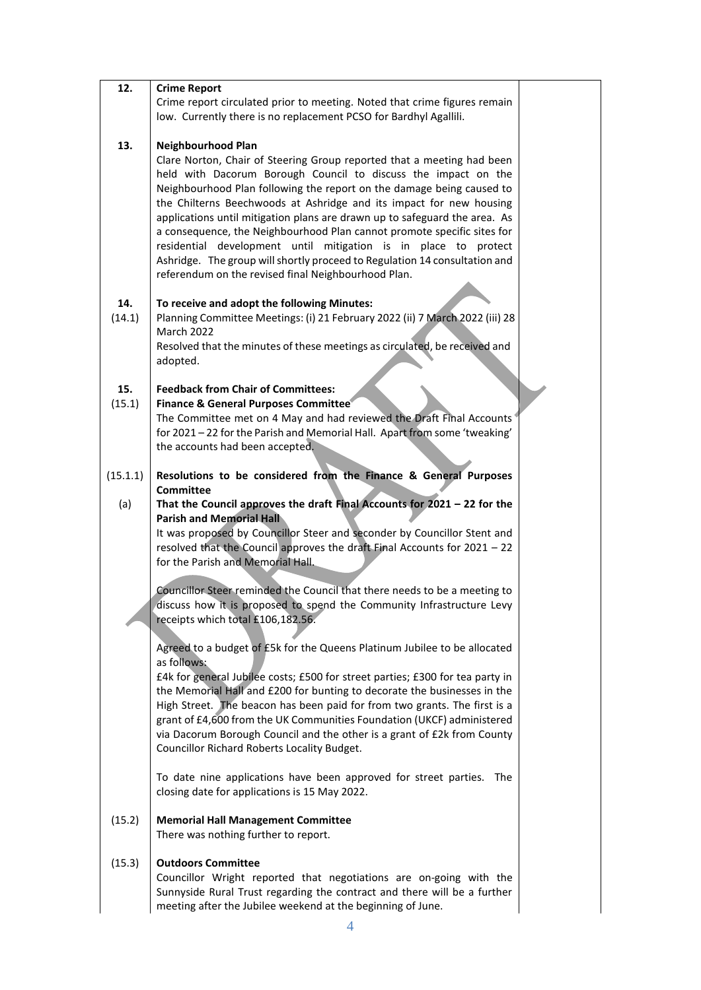| 12.      | <b>Crime Report</b>                                                                                                               |  |
|----------|-----------------------------------------------------------------------------------------------------------------------------------|--|
|          | Crime report circulated prior to meeting. Noted that crime figures remain                                                         |  |
|          | low. Currently there is no replacement PCSO for Bardhyl Agallili.                                                                 |  |
|          |                                                                                                                                   |  |
| 13.      | <b>Neighbourhood Plan</b>                                                                                                         |  |
|          | Clare Norton, Chair of Steering Group reported that a meeting had been                                                            |  |
|          | held with Dacorum Borough Council to discuss the impact on the                                                                    |  |
|          | Neighbourhood Plan following the report on the damage being caused to                                                             |  |
|          | the Chilterns Beechwoods at Ashridge and its impact for new housing                                                               |  |
|          | applications until mitigation plans are drawn up to safeguard the area. As                                                        |  |
|          | a consequence, the Neighbourhood Plan cannot promote specific sites for                                                           |  |
|          | residential development until mitigation is in place to protect                                                                   |  |
|          | Ashridge. The group will shortly proceed to Regulation 14 consultation and<br>referendum on the revised final Neighbourhood Plan. |  |
|          |                                                                                                                                   |  |
| 14.      | To receive and adopt the following Minutes:                                                                                       |  |
| (14.1)   | Planning Committee Meetings: (i) 21 February 2022 (ii) 7 March 2022 (iii) 28                                                      |  |
|          | <b>March 2022</b>                                                                                                                 |  |
|          | Resolved that the minutes of these meetings as circulated, be received and                                                        |  |
|          | adopted.                                                                                                                          |  |
|          |                                                                                                                                   |  |
| 15.      | <b>Feedback from Chair of Committees:</b>                                                                                         |  |
| (15.1)   | <b>Finance &amp; General Purposes Committee®</b>                                                                                  |  |
|          | The Committee met on 4 May and had reviewed the Draft Final Accounts                                                              |  |
|          | for 2021 - 22 for the Parish and Memorial Hall. Apart from some 'tweaking'                                                        |  |
|          | the accounts had been accepted.                                                                                                   |  |
|          |                                                                                                                                   |  |
| (15.1.1) | Resolutions to be considered from the Finance & General Purposes                                                                  |  |
|          | <b>Committee</b>                                                                                                                  |  |
| (a)      | That the Council approves the draft Final Accounts for $2021 - 22$ for the                                                        |  |
|          | <b>Parish and Memorial Hall</b>                                                                                                   |  |
|          | It was proposed by Councillor Steer and seconder by Councillor Stent and                                                          |  |
|          | resolved that the Council approves the draft Final Accounts for 2021 - 22<br>for the Parish and Memorial Hall.                    |  |
|          |                                                                                                                                   |  |
|          | Councillor Steer reminded the Council that there needs to be a meeting to                                                         |  |
|          | discuss how it is proposed to spend the Community Infrastructure Levy                                                             |  |
|          | receipts which total £106,182.56.                                                                                                 |  |
|          |                                                                                                                                   |  |
|          | Agreed to a budget of £5k for the Queens Platinum Jubilee to be allocated                                                         |  |
|          | as follows:                                                                                                                       |  |
|          | £4k for general Jubilee costs; £500 for street parties; £300 for tea party in                                                     |  |
|          | the Memorial Hall and £200 for bunting to decorate the businesses in the                                                          |  |
|          | High Street. The beacon has been paid for from two grants. The first is a                                                         |  |
|          | grant of £4,600 from the UK Communities Foundation (UKCF) administered                                                            |  |
|          | via Dacorum Borough Council and the other is a grant of £2k from County                                                           |  |
|          | Councillor Richard Roberts Locality Budget.                                                                                       |  |
|          |                                                                                                                                   |  |
|          | To date nine applications have been approved for street parties.<br><b>The</b>                                                    |  |
|          | closing date for applications is 15 May 2022.                                                                                     |  |
| (15.2)   | <b>Memorial Hall Management Committee</b>                                                                                         |  |
|          | There was nothing further to report.                                                                                              |  |
|          |                                                                                                                                   |  |
| (15.3)   | <b>Outdoors Committee</b>                                                                                                         |  |
|          | Councillor Wright reported that negotiations are on-going with the                                                                |  |
|          | Sunnyside Rural Trust regarding the contract and there will be a further                                                          |  |
|          | meeting after the Jubilee weekend at the beginning of June.                                                                       |  |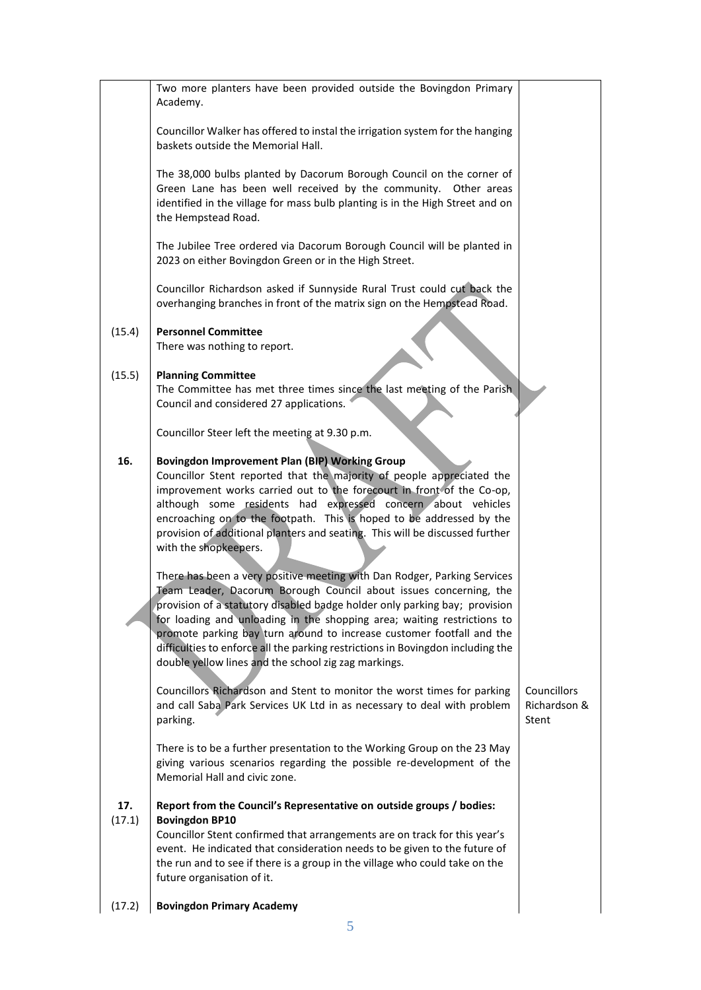|               | Two more planters have been provided outside the Bovingdon Primary<br>Academy.                                                                                                                                                                                                                                                                                                                                                                                                                                             |                                      |
|---------------|----------------------------------------------------------------------------------------------------------------------------------------------------------------------------------------------------------------------------------------------------------------------------------------------------------------------------------------------------------------------------------------------------------------------------------------------------------------------------------------------------------------------------|--------------------------------------|
|               | Councillor Walker has offered to instal the irrigation system for the hanging<br>baskets outside the Memorial Hall.                                                                                                                                                                                                                                                                                                                                                                                                        |                                      |
|               | The 38,000 bulbs planted by Dacorum Borough Council on the corner of<br>Green Lane has been well received by the community. Other areas<br>identified in the village for mass bulb planting is in the High Street and on<br>the Hempstead Road.                                                                                                                                                                                                                                                                            |                                      |
|               | The Jubilee Tree ordered via Dacorum Borough Council will be planted in<br>2023 on either Bovingdon Green or in the High Street.                                                                                                                                                                                                                                                                                                                                                                                           |                                      |
|               | Councillor Richardson asked if Sunnyside Rural Trust could cut back the<br>overhanging branches in front of the matrix sign on the Hempstead Road.                                                                                                                                                                                                                                                                                                                                                                         |                                      |
| (15.4)        | <b>Personnel Committee</b><br>There was nothing to report.                                                                                                                                                                                                                                                                                                                                                                                                                                                                 |                                      |
| (15.5)        | <b>Planning Committee</b><br>The Committee has met three times since the last meeting of the Parish<br>Council and considered 27 applications.                                                                                                                                                                                                                                                                                                                                                                             |                                      |
|               | Councillor Steer left the meeting at 9.30 p.m.                                                                                                                                                                                                                                                                                                                                                                                                                                                                             |                                      |
| 16.           | Bovingdon Improvement Plan (BIP) Working Group<br>Councillor Stent reported that the majority of people appreciated the<br>improvement works carried out to the forecourt in front of the Co-op,<br>although some residents had expressed concern about vehicles<br>encroaching on to the footpath. This is hoped to be addressed by the<br>provision of additional planters and seating. This will be discussed further<br>with the shopkeepers.                                                                          |                                      |
|               | There has been a very positive meeting with Dan Rodger, Parking Services<br>Team Leader, Dacorum Borough Council about issues concerning, the<br>provision of a statutory disabled badge holder only parking bay; provision<br>for loading and unloading in the shopping area; waiting restrictions to<br>promote parking bay turn around to increase customer footfall and the<br>difficulties to enforce all the parking restrictions in Bovingdon including the<br>double yellow lines and the school zig zag markings. |                                      |
|               | Councillors Richardson and Stent to monitor the worst times for parking<br>and call Saba Park Services UK Ltd in as necessary to deal with problem<br>parking.                                                                                                                                                                                                                                                                                                                                                             | Councillors<br>Richardson &<br>Stent |
|               | There is to be a further presentation to the Working Group on the 23 May<br>giving various scenarios regarding the possible re-development of the<br>Memorial Hall and civic zone.                                                                                                                                                                                                                                                                                                                                         |                                      |
| 17.<br>(17.1) | Report from the Council's Representative on outside groups / bodies:<br><b>Bovingdon BP10</b><br>Councillor Stent confirmed that arrangements are on track for this year's<br>event. He indicated that consideration needs to be given to the future of<br>the run and to see if there is a group in the village who could take on the<br>future organisation of it.                                                                                                                                                       |                                      |
| (17.2)        | <b>Bovingdon Primary Academy</b>                                                                                                                                                                                                                                                                                                                                                                                                                                                                                           |                                      |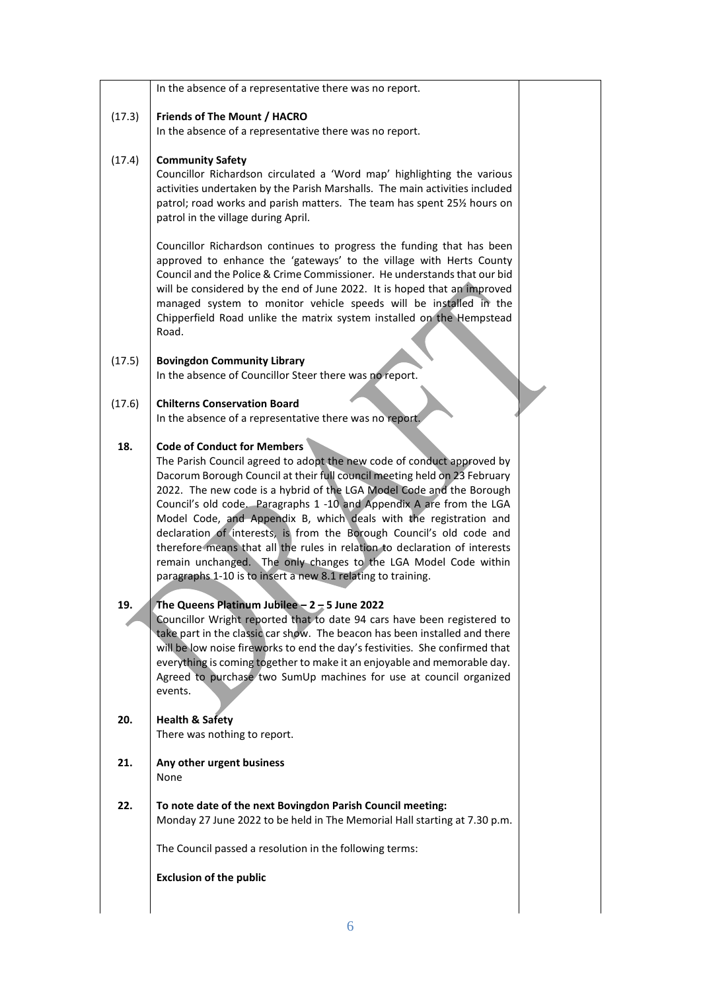|        | In the absence of a representative there was no report.                                                                                                                                                                                                                                                                                                                                                                                                                                                                                                                                                                                                                                                 |
|--------|---------------------------------------------------------------------------------------------------------------------------------------------------------------------------------------------------------------------------------------------------------------------------------------------------------------------------------------------------------------------------------------------------------------------------------------------------------------------------------------------------------------------------------------------------------------------------------------------------------------------------------------------------------------------------------------------------------|
| (17.3) | Friends of The Mount / HACRO                                                                                                                                                                                                                                                                                                                                                                                                                                                                                                                                                                                                                                                                            |
|        | In the absence of a representative there was no report.                                                                                                                                                                                                                                                                                                                                                                                                                                                                                                                                                                                                                                                 |
| (17.4) | <b>Community Safety</b><br>Councillor Richardson circulated a 'Word map' highlighting the various<br>activities undertaken by the Parish Marshalls. The main activities included<br>patrol; road works and parish matters. The team has spent 251/2 hours on<br>patrol in the village during April.                                                                                                                                                                                                                                                                                                                                                                                                     |
|        | Councillor Richardson continues to progress the funding that has been<br>approved to enhance the 'gateways' to the village with Herts County<br>Council and the Police & Crime Commissioner. He understands that our bid<br>will be considered by the end of June 2022. It is hoped that an improved<br>managed system to monitor vehicle speeds will be installed in the<br>Chipperfield Road unlike the matrix system installed on the Hempstead<br>Road.                                                                                                                                                                                                                                             |
| (17.5) | <b>Bovingdon Community Library</b><br>In the absence of Councillor Steer there was no report.                                                                                                                                                                                                                                                                                                                                                                                                                                                                                                                                                                                                           |
| (17.6) | <b>Chilterns Conservation Board</b><br>In the absence of a representative there was no report.                                                                                                                                                                                                                                                                                                                                                                                                                                                                                                                                                                                                          |
| 18.    | <b>Code of Conduct for Members</b><br>The Parish Council agreed to adopt the new code of conduct approved by<br>Dacorum Borough Council at their full council meeting held on 23 February<br>2022. The new code is a hybrid of the LGA Model Code and the Borough<br>Council's old code. Paragraphs 1 -10 and Appendix A are from the LGA<br>Model Code, and Appendix B, which deals with the registration and<br>declaration of interests, is from the Borough Council's old code and<br>therefore means that all the rules in relation to declaration of interests<br>remain unchanged. The only changes to the LGA Model Code within<br>paragraphs 1-10 is to insert a new 8.1 relating to training. |
| 19.    | The Queens Platinum Jubilee $-2 - 5$ June 2022<br>Councillor Wright reported that to date 94 cars have been registered to<br>take part in the classic car show. The beacon has been installed and there<br>will be low noise fireworks to end the day's festivities. She confirmed that<br>everything is coming together to make it an enjoyable and memorable day.<br>Agreed to purchase two SumUp machines for use at council organized<br>events.                                                                                                                                                                                                                                                    |
| 20.    | <b>Health &amp; Safety</b><br>There was nothing to report.                                                                                                                                                                                                                                                                                                                                                                                                                                                                                                                                                                                                                                              |
| 21.    | Any other urgent business<br>None                                                                                                                                                                                                                                                                                                                                                                                                                                                                                                                                                                                                                                                                       |
| 22.    | To note date of the next Bovingdon Parish Council meeting:<br>Monday 27 June 2022 to be held in The Memorial Hall starting at 7.30 p.m.                                                                                                                                                                                                                                                                                                                                                                                                                                                                                                                                                                 |
|        |                                                                                                                                                                                                                                                                                                                                                                                                                                                                                                                                                                                                                                                                                                         |
|        | The Council passed a resolution in the following terms:                                                                                                                                                                                                                                                                                                                                                                                                                                                                                                                                                                                                                                                 |